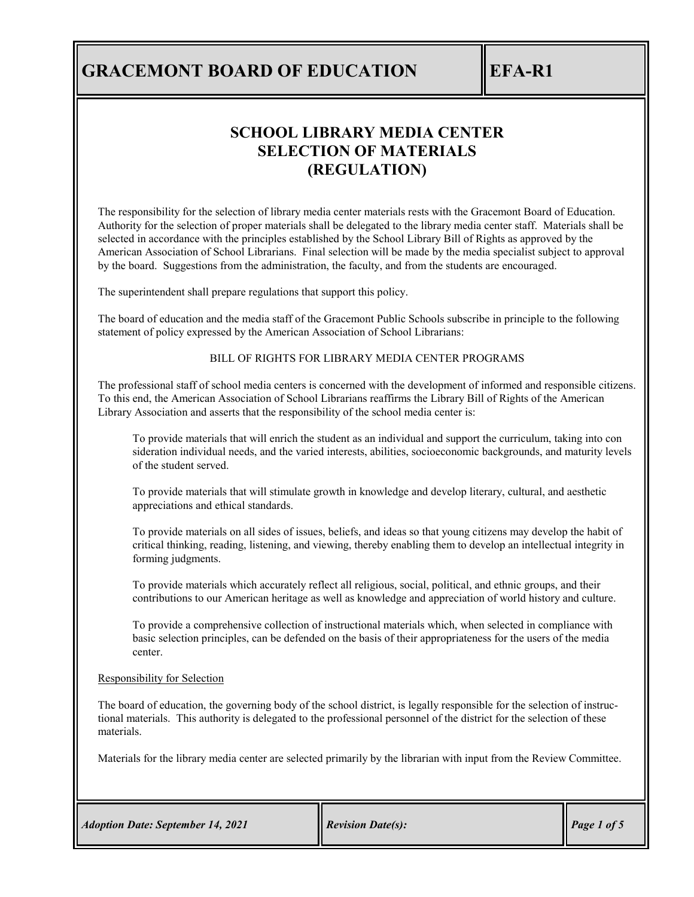# **SCHOOL LIBRARY MEDIA CENTER SELECTION OF MATERIALS (REGULATION)**

The responsibility for the selection of library media center materials rests with the Gracemont Board of Education. Authority for the selection of proper materials shall be delegated to the library media center staff. Materials shall be selected in accordance with the principles established by the School Library Bill of Rights as approved by the American Association of School Librarians. Final selection will be made by the media specialist subject to approval by the board. Suggestions from the administration, the faculty, and from the students are encouraged.

The superintendent shall prepare regulations that support this policy.

The board of education and the media staff of the Gracemont Public Schools subscribe in principle to the following statement of policy expressed by the American Association of School Librarians:

### BILL OF RIGHTS FOR LIBRARY MEDIA CENTER PROGRAMS

The professional staff of school media centers is concerned with the development of informed and responsible citizens. To this end, the American Association of School Librarians reaffirms the Library Bill of Rights of the American Library Association and asserts that the responsibility of the school media center is:

To provide materials that will enrich the student as an individual and support the curriculum, taking into con sideration individual needs, and the varied interests, abilities, socioeconomic backgrounds, and maturity levels of the student served.

To provide materials that will stimulate growth in knowledge and develop literary, cultural, and aesthetic appreciations and ethical standards.

To provide materials on all sides of issues, beliefs, and ideas so that young citizens may develop the habit of critical thinking, reading, listening, and viewing, thereby enabling them to develop an intellectual integrity in forming judgments.

To provide materials which accurately reflect all religious, social, political, and ethnic groups, and their contributions to our American heritage as well as knowledge and appreciation of world history and culture.

To provide a comprehensive collection of instructional materials which, when selected in compliance with basic selection principles, can be defended on the basis of their appropriateness for the users of the media center.

### Responsibility for Selection

The board of education, the governing body of the school district, is legally responsible for the selection of instructional materials. This authority is delegated to the professional personnel of the district for the selection of these materials.

Materials for the library media center are selected primarily by the librarian with input from the Review Committee.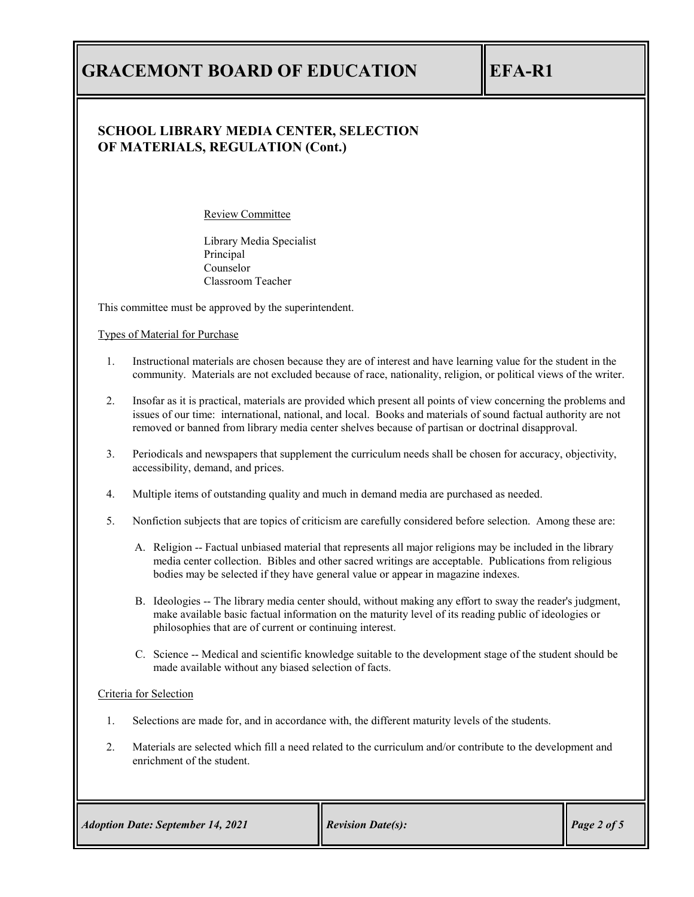## **SCHOOL LIBRARY MEDIA CENTER, SELECTION OF MATERIALS, REGULATION (Cont.)**

Review Committee

Library Media Specialist Principal Counselor Classroom Teacher

This committee must be approved by the superintendent.

Types of Material for Purchase

- 1. Instructional materials are chosen because they are of interest and have learning value for the student in the community. Materials are not excluded because of race, nationality, religion, or political views of the writer.
- 2. Insofar as it is practical, materials are provided which present all points of view concerning the problems and issues of our time: international, national, and local. Books and materials of sound factual authority are not removed or banned from library media center shelves because of partisan or doctrinal disapproval.
- 3. Periodicals and newspapers that supplement the curriculum needs shall be chosen for accuracy, objectivity, accessibility, demand, and prices.
- 4. Multiple items of outstanding quality and much in demand media are purchased as needed.
- 5. Nonfiction subjects that are topics of criticism are carefully considered before selection. Among these are:
	- A. Religion -- Factual unbiased material that represents all major religions may be included in the library media center collection. Bibles and other sacred writings are acceptable. Publications from religious bodies may be selected if they have general value or appear in magazine indexes.
	- B. Ideologies -- The library media center should, without making any effort to sway the reader's judgment, make available basic factual information on the maturity level of its reading public of ideologies or philosophies that are of current or continuing interest.
	- C. Science -- Medical and scientific knowledge suitable to the development stage of the student should be made available without any biased selection of facts.

### Criteria for Selection

- 1. Selections are made for, and in accordance with, the different maturity levels of the students.
- 2. Materials are selected which fill a need related to the curriculum and/or contribute to the development and enrichment of the student.

| <b>Adoption Date: September 14, 2021</b> | <b>Revision Date(s):</b> | $\vert$ Page 2 of 5 |
|------------------------------------------|--------------------------|---------------------|
|                                          |                          |                     |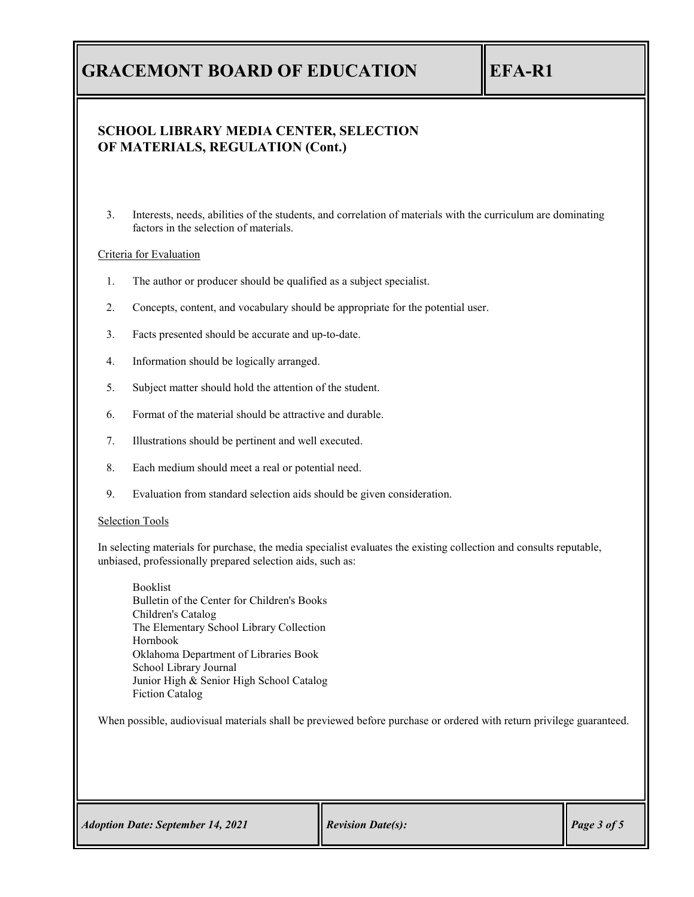## **SCHOOL LIBRARY MEDIA CENTER, SELECTION OF MATERIALS, REGULATION (Cont.)**

3. Interests, needs, abilities of the students, and correlation of materials with the curriculum are dominating factors in the selection of materials.

### Criteria for Evaluation

- 1. The author or producer should be qualified as a subject specialist.
- 2. Concepts, content, and vocabulary should be appropriate for the potential user.
- 3. Facts presented should be accurate and up-to-date.
- 4. Information should be logically arranged.
- 5. Subject matter should hold the attention of the student.
- 6. Format of the material should be attractive and durable.
- 7. Illustrations should be pertinent and well executed.
- 8. Each medium should meet a real or potential need.
- 9. Evaluation from standard selection aids should be given consideration.

### Selection Tools

In selecting materials for purchase, the media specialist evaluates the existing collection and consults reputable, unbiased, professionally prepared selection aids, such as:

Booklist Bulletin of the Center for Children's Books Children's Catalog The Elementary School Library Collection Hornbook Oklahoma Department of Libraries Book School Library Journal Junior High & Senior High School Catalog Fiction Catalog

When possible, audiovisual materials shall be previewed before purchase or ordered with return privilege guaranteed.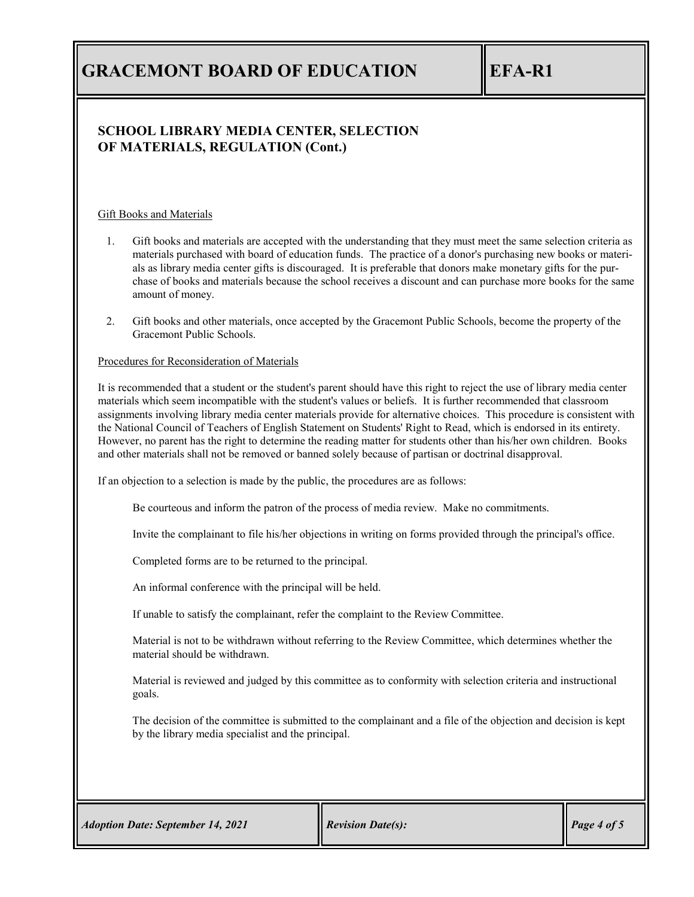## **SCHOOL LIBRARY MEDIA CENTER, SELECTION OF MATERIALS, REGULATION (Cont.)**

### Gift Books and Materials

- 1. Gift books and materials are accepted with the understanding that they must meet the same selection criteria as materials purchased with board of education funds. The practice of a donor's purchasing new books or materials as library media center gifts is discouraged. It is preferable that donors make monetary gifts for the purchase of books and materials because the school receives a discount and can purchase more books for the same amount of money.
- 2. Gift books and other materials, once accepted by the Gracemont Public Schools, become the property of the Gracemont Public Schools.

### Procedures for Reconsideration of Materials

It is recommended that a student or the student's parent should have this right to reject the use of library media center materials which seem incompatible with the student's values or beliefs. It is further recommended that classroom assignments involving library media center materials provide for alternative choices. This procedure is consistent with the National Council of Teachers of English Statement on Students' Right to Read, which is endorsed in its entirety. However, no parent has the right to determine the reading matter for students other than his/her own children. Books and other materials shall not be removed or banned solely because of partisan or doctrinal disapproval.

If an objection to a selection is made by the public, the procedures are as follows:

Be courteous and inform the patron of the process of media review. Make no commitments.

Invite the complainant to file his/her objections in writing on forms provided through the principal's office.

Completed forms are to be returned to the principal.

An informal conference with the principal will be held.

If unable to satisfy the complainant, refer the complaint to the Review Committee.

Material is not to be withdrawn without referring to the Review Committee, which determines whether the material should be withdrawn.

Material is reviewed and judged by this committee as to conformity with selection criteria and instructional goals.

The decision of the committee is submitted to the complainant and a file of the objection and decision is kept by the library media specialist and the principal.